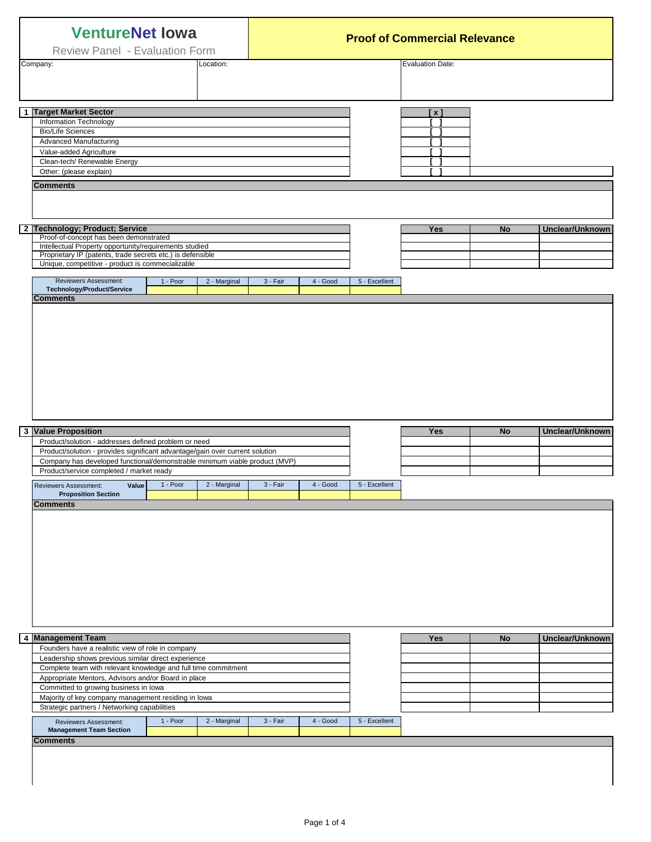| <b>VentureNet lowa</b><br>Review Panel - Evaluation Form<br>Company:<br>Location: |                                                                                                                                                                                                                                                                                                                                                                                                                                                                                |            |              | <b>Proof of Commercial Relevance</b> |          |               |                         |           |                 |
|-----------------------------------------------------------------------------------|--------------------------------------------------------------------------------------------------------------------------------------------------------------------------------------------------------------------------------------------------------------------------------------------------------------------------------------------------------------------------------------------------------------------------------------------------------------------------------|------------|--------------|--------------------------------------|----------|---------------|-------------------------|-----------|-----------------|
|                                                                                   |                                                                                                                                                                                                                                                                                                                                                                                                                                                                                |            |              |                                      |          |               | <b>Evaluation Date:</b> |           |                 |
|                                                                                   | 1 Target Market Sector<br>Information Technology<br><b>Bio/Life Sciences</b><br><b>Advanced Manufacturing</b><br>Value-added Agriculture<br>Clean-tech/ Renewable Energy<br>Other: (please explain)<br><b>Comments</b><br>2 Technology; Product; Service<br>Proof-of-concept has been demonstrated<br>Intellectual Property opportunity/requirements studied<br>Proprietary IP (patents, trade secrets etc.) is defensible<br>Unique, competitive - product is commecializable |            |              |                                      |          |               | [ x ]<br>Yes            | No        | Unclear/Unknown |
|                                                                                   | Reviewers Assessment:<br>Technology/Product/Service<br><b>Comments</b>                                                                                                                                                                                                                                                                                                                                                                                                         | $1 - Poor$ | 2 - Marginal | 3 - Fair                             | 4 - Good | 5 - Excellent |                         |           |                 |
|                                                                                   |                                                                                                                                                                                                                                                                                                                                                                                                                                                                                |            |              |                                      |          |               |                         |           |                 |
|                                                                                   | <b>3 Value Proposition</b><br>Product/solution - addresses defined problem or need                                                                                                                                                                                                                                                                                                                                                                                             |            |              |                                      |          |               | <b>Yes</b>              | <b>No</b> | Unclear/Unknown |
|                                                                                   | Product/solution - provides significant advantage/gain over current solution<br>Company has developed functional/demonstrable minimum viable product (MVP)                                                                                                                                                                                                                                                                                                                     |            |              |                                      |          |               |                         |           |                 |
|                                                                                   | Product/service completed / market ready                                                                                                                                                                                                                                                                                                                                                                                                                                       |            |              |                                      |          |               |                         |           |                 |
|                                                                                   | <b>Reviewers Assessment:</b><br>Value<br><b>Proposition Section</b><br><b>Comments</b>                                                                                                                                                                                                                                                                                                                                                                                         | 1 - Poor   | 2 - Marginal | 3 - Fair                             | 4 - Good | 5 - Excellent |                         |           |                 |
|                                                                                   |                                                                                                                                                                                                                                                                                                                                                                                                                                                                                |            |              |                                      |          |               |                         |           |                 |
|                                                                                   | 4 Management Team                                                                                                                                                                                                                                                                                                                                                                                                                                                              |            |              |                                      |          |               | Yes                     | No        | Unclear/Unknown |
|                                                                                   | Founders have a realistic view of role in company<br>Leadership shows previous similar direct experience                                                                                                                                                                                                                                                                                                                                                                       |            |              |                                      |          |               |                         |           |                 |
|                                                                                   | Complete team with relevant knowledge and full time commitment<br>Appropriate Mentors, Advisors and/or Board in place                                                                                                                                                                                                                                                                                                                                                          |            |              |                                      |          |               |                         |           |                 |
|                                                                                   | Committed to growing business in lowa<br>Majority of key company management residing in lowa                                                                                                                                                                                                                                                                                                                                                                                   |            |              |                                      |          |               |                         |           |                 |
|                                                                                   | Strategic partners / Networking capabilities<br>Reviewers Assessment:                                                                                                                                                                                                                                                                                                                                                                                                          | 1 - Poor   | 2 - Marginal | 3 - Fair                             | 4 - Good | 5 - Excellent |                         |           |                 |
|                                                                                   | <b>Management Team Section</b><br><b>Comments</b>                                                                                                                                                                                                                                                                                                                                                                                                                              |            |              |                                      |          |               |                         |           |                 |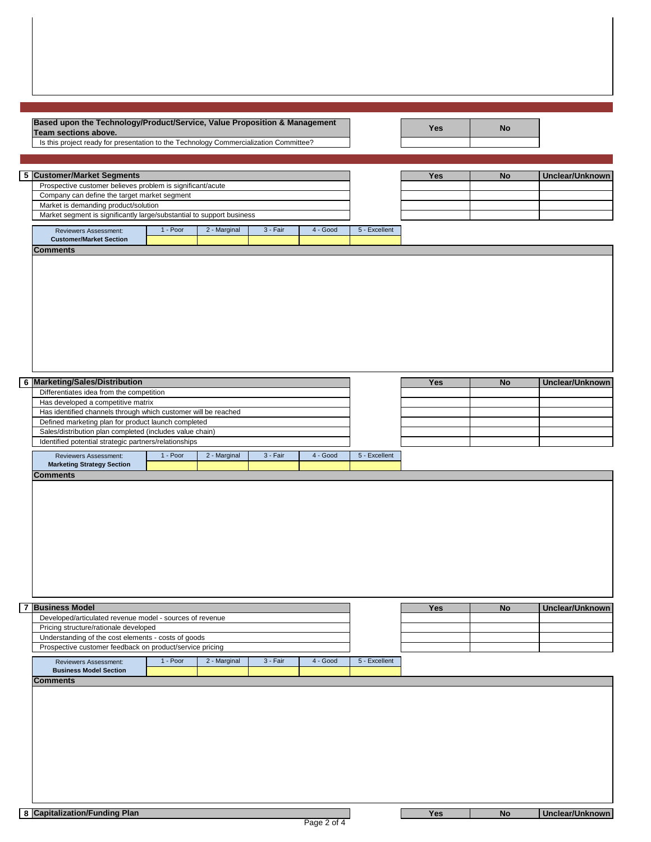| Based upon the Technology/Product/Service, Value Proposition & Management<br>Team sections above.               |          |              |          |          |               | <b>Yes</b> | <b>No</b> |                 |
|-----------------------------------------------------------------------------------------------------------------|----------|--------------|----------|----------|---------------|------------|-----------|-----------------|
| Is this project ready for presentation to the Technology Commercialization Committee?                           |          |              |          |          |               |            |           |                 |
|                                                                                                                 |          |              |          |          |               |            |           |                 |
| 5 Customer/Market Segments<br>Prospective customer believes problem is significant/acute                        |          |              |          |          |               | Yes        | <b>No</b> | Unclear/Unknown |
| Company can define the target market segment                                                                    |          |              |          |          |               |            |           |                 |
| Market is demanding product/solution<br>Market segment is significantly large/substantial to support business   |          |              |          |          |               |            |           |                 |
| Reviewers Assessment:                                                                                           | 1 - Poor | 2 - Marginal | 3 - Fair | 4 - Good | 5 - Excellent |            |           |                 |
| <b>Customer/Market Section</b><br><b>Comments</b>                                                               |          |              |          |          |               |            |           |                 |
|                                                                                                                 |          |              |          |          |               |            |           |                 |
|                                                                                                                 |          |              |          |          |               |            |           |                 |
|                                                                                                                 |          |              |          |          |               |            |           |                 |
|                                                                                                                 |          |              |          |          |               |            |           |                 |
|                                                                                                                 |          |              |          |          |               |            |           |                 |
|                                                                                                                 |          |              |          |          |               |            |           |                 |
| 6 Marketing/Sales/Distribution                                                                                  |          |              |          |          |               | Yes        | <b>No</b> | Unclear/Unknown |
| Differentiates idea from the competition<br>Has developed a competitive matrix                                  |          |              |          |          |               |            |           |                 |
| Has identified channels through which customer will be reached                                                  |          |              |          |          |               |            |           |                 |
| Defined marketing plan for product launch completed<br>Sales/distribution plan completed (includes value chain) |          |              |          |          |               |            |           |                 |
| Identified potential strategic partners/relationships                                                           |          |              |          |          |               |            |           |                 |
| Reviewers Assessment:<br><b>Marketing Strategy Section</b>                                                      | 1 - Poor | 2 - Marginal | 3 - Fair | 4 - Good | 5 - Excellent |            |           |                 |
| <b>Comments</b>                                                                                                 |          |              |          |          |               |            |           |                 |
|                                                                                                                 |          |              |          |          |               |            |           |                 |
|                                                                                                                 |          |              |          |          |               |            |           |                 |
|                                                                                                                 |          |              |          |          |               |            |           |                 |
|                                                                                                                 |          |              |          |          |               |            |           |                 |
|                                                                                                                 |          |              |          |          |               |            |           |                 |
|                                                                                                                 |          |              |          |          |               |            |           |                 |
|                                                                                                                 |          |              |          |          |               |            |           |                 |
|                                                                                                                 |          |              |          |          |               |            |           |                 |
| <b>7 Business Model</b><br>Developed/articulated revenue model - sources of revenue                             |          |              |          |          |               | Yes        | No        | Unclear/Unknown |
| Pricing structure/rationale developed                                                                           |          |              |          |          |               |            |           |                 |
| Understanding of the cost elements - costs of goods<br>Prospective customer feedback on product/service pricing |          |              |          |          |               |            |           |                 |
| Reviewers Assessment:                                                                                           | 1 - Poor | 2 - Marginal | 3 - Fair | 4 - Good | 5 - Excellent |            |           |                 |
| <b>Business Model Section</b>                                                                                   |          |              |          |          |               |            |           |                 |
| <b>Comments</b>                                                                                                 |          |              |          |          |               |            |           |                 |
|                                                                                                                 |          |              |          |          |               |            |           |                 |
|                                                                                                                 |          |              |          |          |               |            |           |                 |
|                                                                                                                 |          |              |          |          |               |            |           |                 |
|                                                                                                                 |          |              |          |          |               |            |           |                 |
|                                                                                                                 |          |              |          |          |               |            |           |                 |
|                                                                                                                 |          |              |          |          |               |            |           |                 |
|                                                                                                                 |          |              |          |          |               |            |           |                 |
| 8 Capitalization/Funding Plan                                                                                   |          |              |          |          |               | Yes        | <b>No</b> | Unclear/Unknown |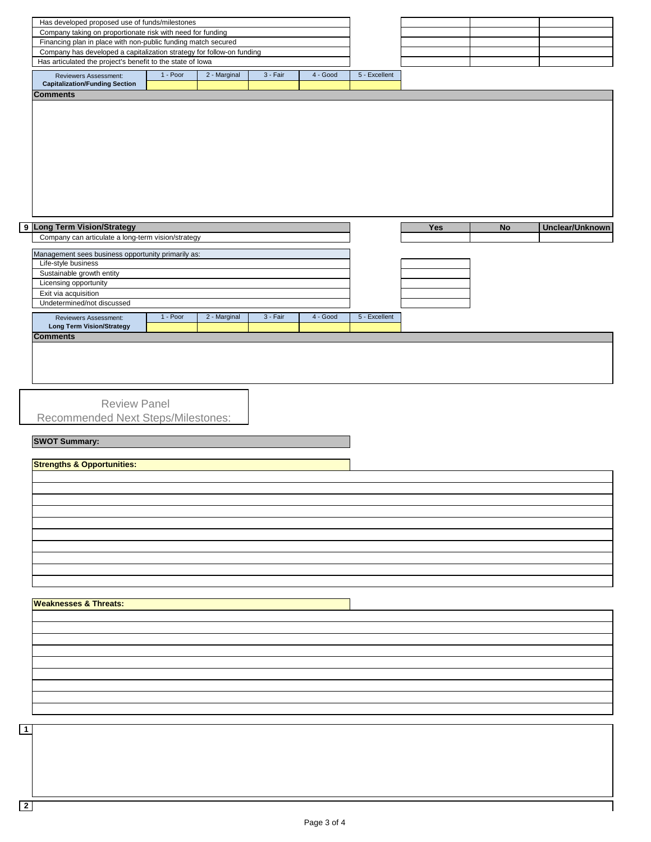| Has developed proposed use of funds/milestones                        |            |              |          |          |               |     |    |                 |
|-----------------------------------------------------------------------|------------|--------------|----------|----------|---------------|-----|----|-----------------|
| Company taking on proportionate risk with need for funding            |            |              |          |          |               |     |    |                 |
| Financing plan in place with non-public funding match secured         |            |              |          |          |               |     |    |                 |
| Company has developed a capitalization strategy for follow-on funding |            |              |          |          |               |     |    |                 |
| Has articulated the project's benefit to the state of lowa            |            |              |          |          |               |     |    |                 |
| Reviewers Assessment:                                                 | $1 - Poor$ | 2 - Marginal | 3 - Fair | 4 - Good | 5 - Excellent |     |    |                 |
| <b>Capitalization/Funding Section</b>                                 |            |              |          |          |               |     |    |                 |
| <b>Comments</b>                                                       |            |              |          |          |               |     |    |                 |
|                                                                       |            |              |          |          |               |     |    |                 |
|                                                                       |            |              |          |          |               |     |    |                 |
|                                                                       |            |              |          |          |               |     |    |                 |
|                                                                       |            |              |          |          |               |     |    |                 |
|                                                                       |            |              |          |          |               |     |    |                 |
|                                                                       |            |              |          |          |               |     |    |                 |
|                                                                       |            |              |          |          |               |     |    |                 |
|                                                                       |            |              |          |          |               |     |    |                 |
|                                                                       |            |              |          |          |               |     |    |                 |
|                                                                       |            |              |          |          |               |     |    |                 |
| 9 Long Term Vision/Strategy                                           |            |              |          |          |               | Yes | No | Unclear/Unknown |
| Company can articulate a long-term vision/strategy                    |            |              |          |          |               |     |    |                 |
|                                                                       |            |              |          |          |               |     |    |                 |
| Management sees business opportunity primarily as:                    |            |              |          |          |               |     |    |                 |
| Life-style business                                                   |            |              |          |          |               |     |    |                 |
| Sustainable growth entity<br>Licensing opportunity                    |            |              |          |          |               |     |    |                 |
| Exit via acquisition                                                  |            |              |          |          |               |     |    |                 |
| Undetermined/not discussed                                            |            |              |          |          |               |     |    |                 |
| Reviewers Assessment:                                                 | 1 - Poor   | 2 - Marginal | 3 - Fair | 4 - Good | 5 - Excellent |     |    |                 |
| <b>Long Term Vision/Strategy</b>                                      |            |              |          |          |               |     |    |                 |
| <b>Comments</b>                                                       |            |              |          |          |               |     |    |                 |
|                                                                       |            |              |          |          |               |     |    |                 |
|                                                                       |            |              |          |          |               |     |    |                 |
|                                                                       |            |              |          |          |               |     |    |                 |
| <b>Review Panel</b>                                                   |            |              |          |          |               |     |    |                 |
| Recommended Next Steps/Milestones:                                    |            |              |          |          |               |     |    |                 |
|                                                                       |            |              |          |          |               |     |    |                 |
|                                                                       |            |              |          |          |               |     |    |                 |
|                                                                       |            |              |          |          |               |     |    |                 |
| <b>SWOT Summary:</b>                                                  |            |              |          |          |               |     |    |                 |
|                                                                       |            |              |          |          |               |     |    |                 |
| <b>Strengths &amp; Opportunities:</b>                                 |            |              |          |          |               |     |    |                 |
|                                                                       |            |              |          |          |               |     |    |                 |
|                                                                       |            |              |          |          |               |     |    |                 |
|                                                                       |            |              |          |          |               |     |    |                 |
|                                                                       |            |              |          |          |               |     |    |                 |
|                                                                       |            |              |          |          |               |     |    |                 |
|                                                                       |            |              |          |          |               |     |    |                 |
|                                                                       |            |              |          |          |               |     |    |                 |
|                                                                       |            |              |          |          |               |     |    |                 |
|                                                                       |            |              |          |          |               |     |    |                 |
|                                                                       |            |              |          |          |               |     |    |                 |
|                                                                       |            |              |          |          |               |     |    |                 |
| <b>Weaknesses &amp; Threats:</b>                                      |            |              |          |          |               |     |    |                 |
|                                                                       |            |              |          |          |               |     |    |                 |
|                                                                       |            |              |          |          |               |     |    |                 |
|                                                                       |            |              |          |          |               |     |    |                 |
|                                                                       |            |              |          |          |               |     |    |                 |
|                                                                       |            |              |          |          |               |     |    |                 |
|                                                                       |            |              |          |          |               |     |    |                 |
|                                                                       |            |              |          |          |               |     |    |                 |
|                                                                       |            |              |          |          |               |     |    |                 |
|                                                                       |            |              |          |          |               |     |    |                 |
|                                                                       |            |              |          |          |               |     |    |                 |
|                                                                       |            |              |          |          |               |     |    |                 |
|                                                                       |            |              |          |          |               |     |    |                 |
|                                                                       |            |              |          |          |               |     |    |                 |